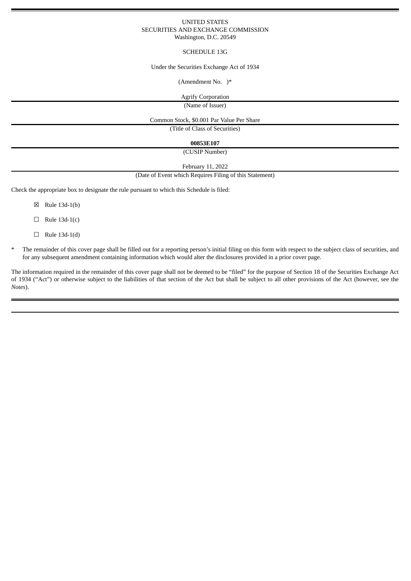### UNITED STATES SECURITIES AND EXCHANGE COMMISSION Washington, D.C. 20549

# SCHEDULE 13G

#### Under the Securities Exchange Act of 1934

# (Amendment No. )\*

Agrify Corporation

(Name of Issuer)

Common Stock, \$0.001 Par Value Per Share

(Title of Class of Securities)

**00853E107**

(CUSIP Number)

February 11, 2022

### (Date of Event which Requires Filing of this Statement)

Check the appropriate box to designate the rule pursuant to which this Schedule is filed:

- ☒ Rule 13d-1(b)
- $\Box$  Rule 13d-1(c)
- ☐ Rule 13d-1(d)
- The remainder of this cover page shall be filled out for a reporting person's initial filing on this form with respect to the subject class of securities, and for any subsequent amendment containing information which would alter the disclosures provided in a prior cover page.

The information required in the remainder of this cover page shall not be deemed to be "filed" for the purpose of Section 18 of the Securities Exchange Act of 1934 ("Act") or otherwise subject to the liabilities of that section of the Act but shall be subject to all other provisions of the Act (however, see the *Notes*).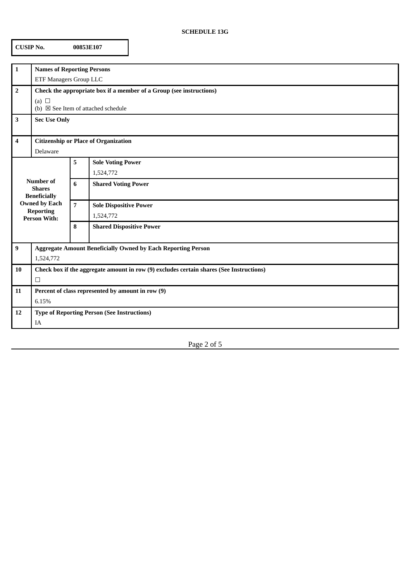# **SCHEDULE 13G**

| <b>CUSIP No.</b><br>00853E107                                                                                               |                                                                                                                                    |                |                                            |
|-----------------------------------------------------------------------------------------------------------------------------|------------------------------------------------------------------------------------------------------------------------------------|----------------|--------------------------------------------|
| 1                                                                                                                           | <b>Names of Reporting Persons</b><br><b>ETF Managers Group LLC</b>                                                                 |                |                                            |
| $\overline{2}$                                                                                                              | Check the appropriate box if a member of a Group (see instructions)<br>(a) $\Box$<br>(b) $\boxtimes$ See Item of attached schedule |                |                                            |
| 3                                                                                                                           | <b>Sec Use Only</b>                                                                                                                |                |                                            |
| 4                                                                                                                           | <b>Citizenship or Place of Organization</b><br>Delaware                                                                            |                |                                            |
| <b>Number of</b><br><b>Shares</b><br><b>Beneficially</b><br><b>Owned by Each</b><br><b>Reporting</b><br><b>Person With:</b> |                                                                                                                                    | 5              | <b>Sole Voting Power</b><br>1,524,772      |
|                                                                                                                             |                                                                                                                                    | 6              | <b>Shared Voting Power</b>                 |
|                                                                                                                             |                                                                                                                                    | $\overline{7}$ | <b>Sole Dispositive Power</b><br>1,524,772 |
|                                                                                                                             |                                                                                                                                    | 8              | <b>Shared Dispositive Power</b>            |
| 9                                                                                                                           | <b>Aggregate Amount Beneficially Owned by Each Reporting Person</b><br>1,524,772                                                   |                |                                            |
| 10                                                                                                                          | Check box if the aggregate amount in row (9) excludes certain shares (See Instructions)<br>$\Box$                                  |                |                                            |
| 11                                                                                                                          | Percent of class represented by amount in row (9)<br>6.15%                                                                         |                |                                            |
| 12                                                                                                                          | <b>Type of Reporting Person (See Instructions)</b><br>IA                                                                           |                |                                            |

Page 2 of 5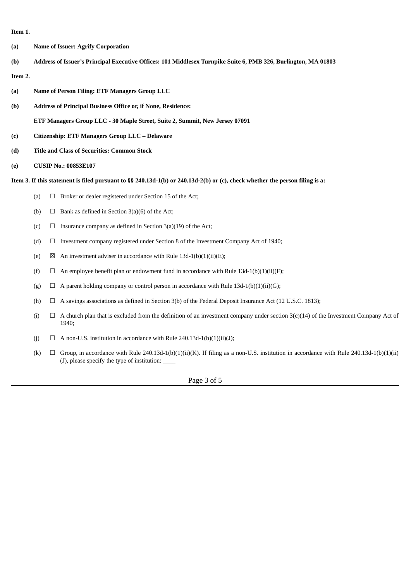**Item 1.**

- **(a) Name of Issuer: Agrify Corporation**
- (b) Address of Issuer's Principal Executive Offices: 101 Middlesex Turnpike Suite 6, PMB 326, Burlington, MA 01803

# **Item 2.**

- **(a) Name of Person Filing: ETF Managers Group LLC**
- **(b) Address of Principal Business Office or, if None, Residence:**
	- **ETF Managers Group LLC - 30 Maple Street, Suite 2, Summit, New Jersey 07091**
- **(c) Citizenship: ETF Managers Group LLC – Delaware**
- **(d) Title and Class of Securities: Common Stock**
- **(e) CUSIP No.: 00853E107**

Item 3. If this statement is filed pursuant to §§ 240.13d-1(b) or 240.13d-2(b) or (c), check whether the person filing is a:

- (a)  $\Box$  Broker or dealer registered under Section 15 of the Act;
- (b)  $\Box$  Bank as defined in Section 3(a)(6) of the Act;
- (c)  $\Box$  Insurance company as defined in Section 3(a)(19) of the Act;
- (d)  $\Box$  Investment company registered under Section 8 of the Investment Company Act of 1940;
- (e)  $\boxtimes$  An investment adviser in accordance with Rule 13d-1(b)(1)(ii)(E);
- (f)  $\Box$  An employee benefit plan or endowment fund in accordance with Rule 13d-1(b)(1)(ii)(F);
- (g)  $\Box$  A parent holding company or control person in accordance with Rule 13d-1(b)(1)(ii)(G);
- (h)  $\Box$  A savings associations as defined in Section 3(b) of the Federal Deposit Insurance Act (12 U.S.C. 1813);
- (i)  $\Box$  A church plan that is excluded from the definition of an investment company under section 3(c)(14) of the Investment Company Act of 1940;
- (j)  $\Box$  A non-U.S. institution in accordance with Rule 240.13d-1(b)(1)(ii)(J);
- (k)  $\Box$  Group, in accordance with Rule 240.13d-1(b)(1)(ii)(K). If filing as a non-U.S. institution in accordance with Rule 240.13d-1(b)(1)(ii) (J), please specify the type of institution:  $\overline{\phantom{a}}$

Page 3 of 5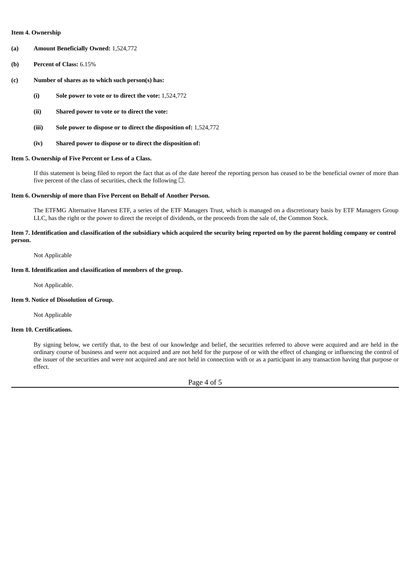#### **Item 4. Ownership**

- **(a) Amount Beneficially Owned:** 1,524,772
- **(b) Percent of Class:** 6.15%
- **(c) Number of shares as to which such person(s) has:**
	- **(i) Sole power to vote or to direct the vote:** 1,524,772
	- **(ii) Shared power to vote or to direct the vote:**
	- **(iii) Sole power to dispose or to direct the disposition of:** 1,524,772
	- **(iv) Shared power to dispose or to direct the disposition of:**

#### **Item 5. Ownership of Five Percent or Less of a Class.**

If this statement is being filed to report the fact that as of the date hereof the reporting person has ceased to be the beneficial owner of more than five percent of the class of securities, check the following  $\Box$ .

#### **Item 6. Ownership of more than Five Percent on Behalf of Another Person.**

The ETFMG Alternative Harvest ETF, a series of the ETF Managers Trust, which is managed on a discretionary basis by ETF Managers Group LLC, has the right or the power to direct the receipt of dividends, or the proceeds from the sale of, the Common Stock.

## Item 7. Identification and classification of the subsidiary which acquired the security being reported on by the parent holding company or control **person.**

Not Applicable

# **Item 8. Identification and classification of members of the group.**

Not Applicable.

### **Item 9. Notice of Dissolution of Group.**

Not Applicable

### **Item 10. Certifications.**

By signing below, we certify that, to the best of our knowledge and belief, the securities referred to above were acquired and are held in the ordinary course of business and were not acquired and are not held for the purpose of or with the effect of changing or influencing the control of the issuer of the securities and were not acquired and are not held in connection with or as a participant in any transaction having that purpose or effect.

Page 4 of 5